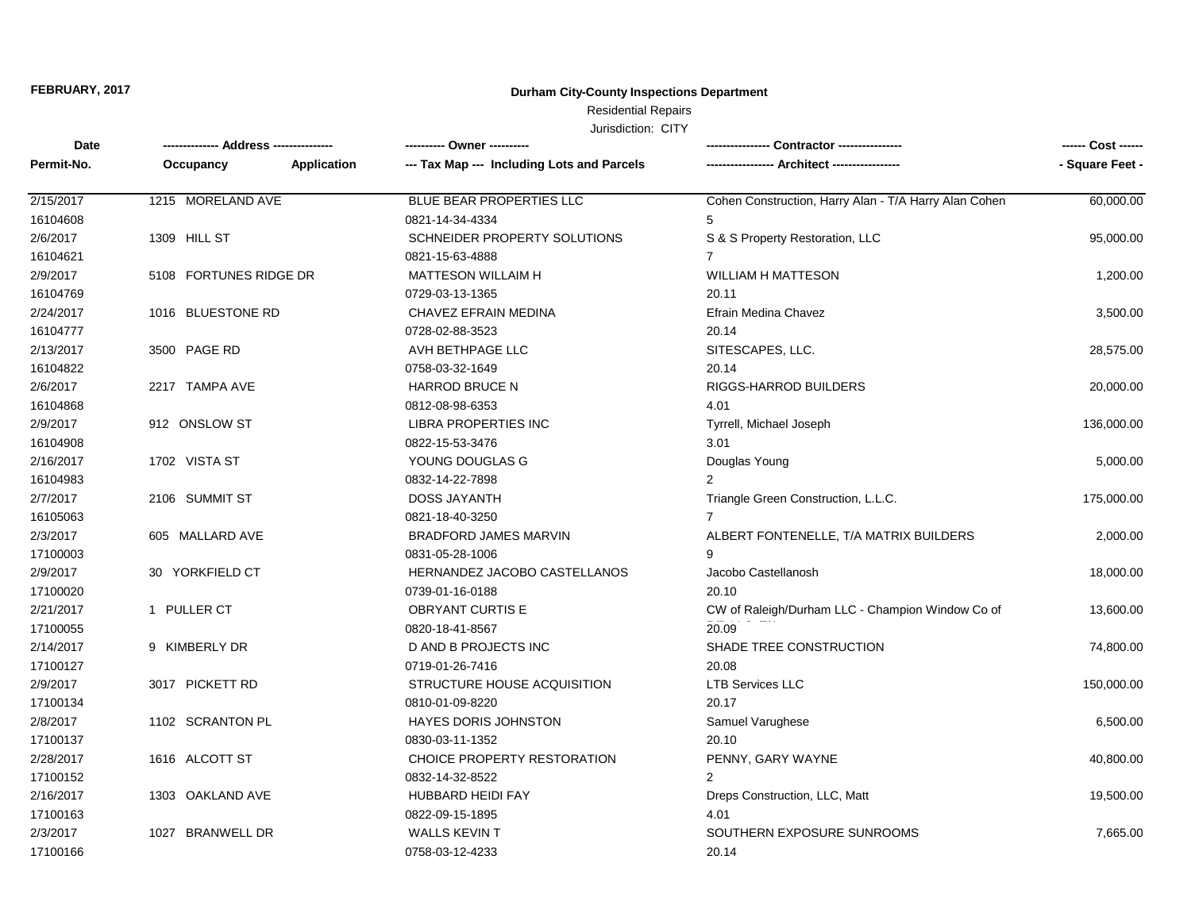## **Durham City-County Inspections Department**

## Residential Repairs

| Date       |                        |                    | ---------- Owner ----------                |                                                       | ------ Cost ------ |
|------------|------------------------|--------------------|--------------------------------------------|-------------------------------------------------------|--------------------|
| Permit-No. | Occupancy              | <b>Application</b> | --- Tax Map --- Including Lots and Parcels |                                                       | - Square Feet -    |
| 2/15/2017  | 1215 MORELAND AVE      |                    | BLUE BEAR PROPERTIES LLC                   | Cohen Construction, Harry Alan - T/A Harry Alan Cohen | 60,000.00          |
| 16104608   |                        |                    | 0821-14-34-4334                            | 5                                                     |                    |
| 2/6/2017   | 1309 HILL ST           |                    | SCHNEIDER PROPERTY SOLUTIONS               | S & S Property Restoration, LLC                       | 95,000.00          |
| 16104621   |                        |                    | 0821-15-63-4888                            | $\overline{7}$                                        |                    |
| 2/9/2017   | 5108 FORTUNES RIDGE DR |                    | <b>MATTESON WILLAIM H</b>                  | <b>WILLIAM H MATTESON</b>                             | 1,200.00           |
| 16104769   |                        |                    | 0729-03-13-1365                            | 20.11                                                 |                    |
| 2/24/2017  | 1016 BLUESTONE RD      |                    | CHAVEZ EFRAIN MEDINA                       | Efrain Medina Chavez                                  | 3,500.00           |
| 16104777   |                        |                    | 0728-02-88-3523                            | 20.14                                                 |                    |
| 2/13/2017  | 3500 PAGE RD           |                    | AVH BETHPAGE LLC                           | SITESCAPES, LLC.                                      | 28,575.00          |
| 16104822   |                        |                    | 0758-03-32-1649                            | 20.14                                                 |                    |
| 2/6/2017   | 2217 TAMPA AVE         |                    | <b>HARROD BRUCE N</b>                      | <b>RIGGS-HARROD BUILDERS</b>                          | 20,000.00          |
| 16104868   |                        |                    | 0812-08-98-6353                            | 4.01                                                  |                    |
| 2/9/2017   | 912 ONSLOW ST          |                    | <b>LIBRA PROPERTIES INC</b>                | Tyrrell, Michael Joseph                               | 136,000.00         |
| 16104908   |                        |                    | 0822-15-53-3476                            | 3.01                                                  |                    |
| 2/16/2017  | 1702 VISTA ST          |                    | YOUNG DOUGLAS G                            | Douglas Young                                         | 5,000.00           |
| 16104983   |                        |                    | 0832-14-22-7898                            | 2                                                     |                    |
| 2/7/2017   | 2106 SUMMIT ST         |                    | <b>DOSS JAYANTH</b>                        | Triangle Green Construction, L.L.C.                   | 175,000.00         |
| 16105063   |                        |                    | 0821-18-40-3250                            |                                                       |                    |
| 2/3/2017   | 605 MALLARD AVE        |                    | <b>BRADFORD JAMES MARVIN</b>               | ALBERT FONTENELLE, T/A MATRIX BUILDERS                | 2,000.00           |
| 17100003   |                        |                    | 0831-05-28-1006                            | 9                                                     |                    |
| 2/9/2017   | 30 YORKFIELD CT        |                    | HERNANDEZ JACOBO CASTELLANOS               | Jacobo Castellanosh                                   | 18,000.00          |
| 17100020   |                        |                    | 0739-01-16-0188                            | 20.10                                                 |                    |
| 2/21/2017  | 1 PULLER CT            |                    | <b>OBRYANT CURTIS E</b>                    | CW of Raleigh/Durham LLC - Champion Window Co of      | 13,600.00          |
| 17100055   |                        |                    | 0820-18-41-8567                            | 20.09                                                 |                    |
| 2/14/2017  | 9 KIMBERLY DR          |                    | D AND B PROJECTS INC                       | SHADE TREE CONSTRUCTION                               | 74,800.00          |
| 17100127   |                        |                    | 0719-01-26-7416                            | 20.08                                                 |                    |
| 2/9/2017   | 3017 PICKETT RD        |                    | STRUCTURE HOUSE ACQUISITION                | <b>LTB Services LLC</b>                               | 150,000.00         |
| 17100134   |                        |                    | 0810-01-09-8220                            | 20.17                                                 |                    |
| 2/8/2017   | 1102 SCRANTON PL       |                    | HAYES DORIS JOHNSTON                       | Samuel Varughese                                      | 6,500.00           |
| 17100137   |                        |                    | 0830-03-11-1352                            | 20.10                                                 |                    |
| 2/28/2017  | 1616 ALCOTT ST         |                    | CHOICE PROPERTY RESTORATION                | PENNY, GARY WAYNE                                     | 40,800.00          |
| 17100152   |                        |                    | 0832-14-32-8522                            | $\overline{2}$                                        |                    |
| 2/16/2017  | 1303 OAKLAND AVE       |                    | <b>HUBBARD HEIDI FAY</b>                   | Dreps Construction, LLC, Matt                         | 19,500.00          |
| 17100163   |                        |                    | 0822-09-15-1895                            | 4.01                                                  |                    |
| 2/3/2017   | 1027 BRANWELL DR       |                    | <b>WALLS KEVIN T</b>                       | SOUTHERN EXPOSURE SUNROOMS                            | 7,665.00           |
| 17100166   |                        |                    | 0758-03-12-4233                            | 20.14                                                 |                    |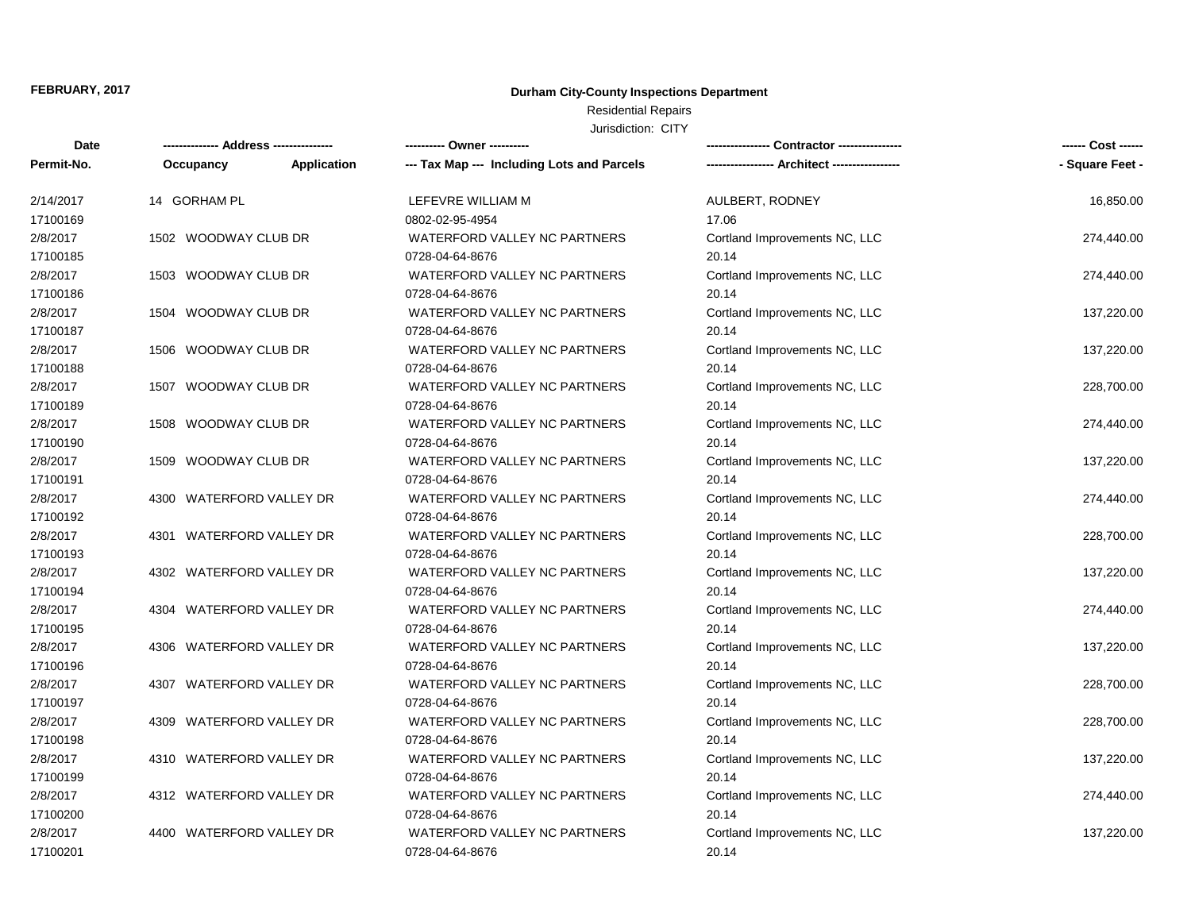## **Durham City-County Inspections Department**

## Residential Repairs

| <b>Date</b> |                          | ----------- | ---------- Owner ----------                |                               | ------ Cost ------ |
|-------------|--------------------------|-------------|--------------------------------------------|-------------------------------|--------------------|
| Permit-No.  | Occupancy                | Application | --- Tax Map --- Including Lots and Parcels |                               | - Square Feet -    |
| 2/14/2017   | 14 GORHAM PL             |             | LEFEVRE WILLIAM M                          | AULBERT, RODNEY               | 16,850.00          |
| 17100169    |                          |             | 0802-02-95-4954                            | 17.06                         |                    |
| 2/8/2017    | 1502 WOODWAY CLUB DR     |             | WATERFORD VALLEY NC PARTNERS               | Cortland Improvements NC, LLC | 274,440.00         |
| 17100185    |                          |             | 0728-04-64-8676                            | 20.14                         |                    |
| 2/8/2017    | 1503 WOODWAY CLUB DR     |             | WATERFORD VALLEY NC PARTNERS               | Cortland Improvements NC, LLC | 274,440.00         |
| 17100186    |                          |             | 0728-04-64-8676                            | 20.14                         |                    |
| 2/8/2017    | 1504 WOODWAY CLUB DR     |             | WATERFORD VALLEY NC PARTNERS               | Cortland Improvements NC, LLC | 137,220.00         |
| 17100187    |                          |             | 0728-04-64-8676                            | 20.14                         |                    |
| 2/8/2017    | 1506 WOODWAY CLUB DR     |             | WATERFORD VALLEY NC PARTNERS               | Cortland Improvements NC, LLC | 137,220.00         |
| 17100188    |                          |             | 0728-04-64-8676                            | 20.14                         |                    |
| 2/8/2017    | 1507 WOODWAY CLUB DR     |             | WATERFORD VALLEY NC PARTNERS               | Cortland Improvements NC, LLC | 228,700.00         |
| 17100189    |                          |             | 0728-04-64-8676                            | 20.14                         |                    |
| 2/8/2017    | 1508 WOODWAY CLUB DR     |             | WATERFORD VALLEY NC PARTNERS               | Cortland Improvements NC, LLC | 274,440.00         |
| 17100190    |                          |             | 0728-04-64-8676                            | 20.14                         |                    |
| 2/8/2017    | 1509 WOODWAY CLUB DR     |             | WATERFORD VALLEY NC PARTNERS               | Cortland Improvements NC, LLC | 137,220.00         |
| 17100191    |                          |             | 0728-04-64-8676                            | 20.14                         |                    |
| 2/8/2017    | 4300 WATERFORD VALLEY DR |             | WATERFORD VALLEY NC PARTNERS               | Cortland Improvements NC, LLC | 274,440.00         |
| 17100192    |                          |             | 0728-04-64-8676                            | 20.14                         |                    |
| 2/8/2017    | 4301 WATERFORD VALLEY DR |             | WATERFORD VALLEY NC PARTNERS               | Cortland Improvements NC, LLC | 228,700.00         |
| 17100193    |                          |             | 0728-04-64-8676                            | 20.14                         |                    |
| 2/8/2017    | 4302 WATERFORD VALLEY DR |             | WATERFORD VALLEY NC PARTNERS               | Cortland Improvements NC, LLC | 137,220.00         |
| 17100194    |                          |             | 0728-04-64-8676                            | 20.14                         |                    |
| 2/8/2017    | 4304 WATERFORD VALLEY DR |             | WATERFORD VALLEY NC PARTNERS               | Cortland Improvements NC, LLC | 274,440.00         |
| 17100195    |                          |             | 0728-04-64-8676                            | 20.14                         |                    |
| 2/8/2017    | 4306 WATERFORD VALLEY DR |             | WATERFORD VALLEY NC PARTNERS               | Cortland Improvements NC, LLC | 137,220.00         |
| 17100196    |                          |             | 0728-04-64-8676                            | 20.14                         |                    |
| 2/8/2017    | 4307 WATERFORD VALLEY DR |             | WATERFORD VALLEY NC PARTNERS               | Cortland Improvements NC, LLC | 228,700.00         |
| 17100197    |                          |             | 0728-04-64-8676                            | 20.14                         |                    |
| 2/8/2017    | 4309 WATERFORD VALLEY DR |             | WATERFORD VALLEY NC PARTNERS               | Cortland Improvements NC, LLC | 228,700.00         |
| 17100198    |                          |             | 0728-04-64-8676                            | 20.14                         |                    |
| 2/8/2017    | 4310 WATERFORD VALLEY DR |             | WATERFORD VALLEY NC PARTNERS               | Cortland Improvements NC, LLC | 137,220.00         |
| 17100199    |                          |             | 0728-04-64-8676                            | 20.14                         |                    |
| 2/8/2017    | 4312 WATERFORD VALLEY DR |             | WATERFORD VALLEY NC PARTNERS               | Cortland Improvements NC, LLC | 274,440.00         |
| 17100200    |                          |             | 0728-04-64-8676                            | 20.14                         |                    |
| 2/8/2017    | 4400 WATERFORD VALLEY DR |             | WATERFORD VALLEY NC PARTNERS               | Cortland Improvements NC, LLC | 137,220.00         |
| 17100201    |                          |             | 0728-04-64-8676                            | 20.14                         |                    |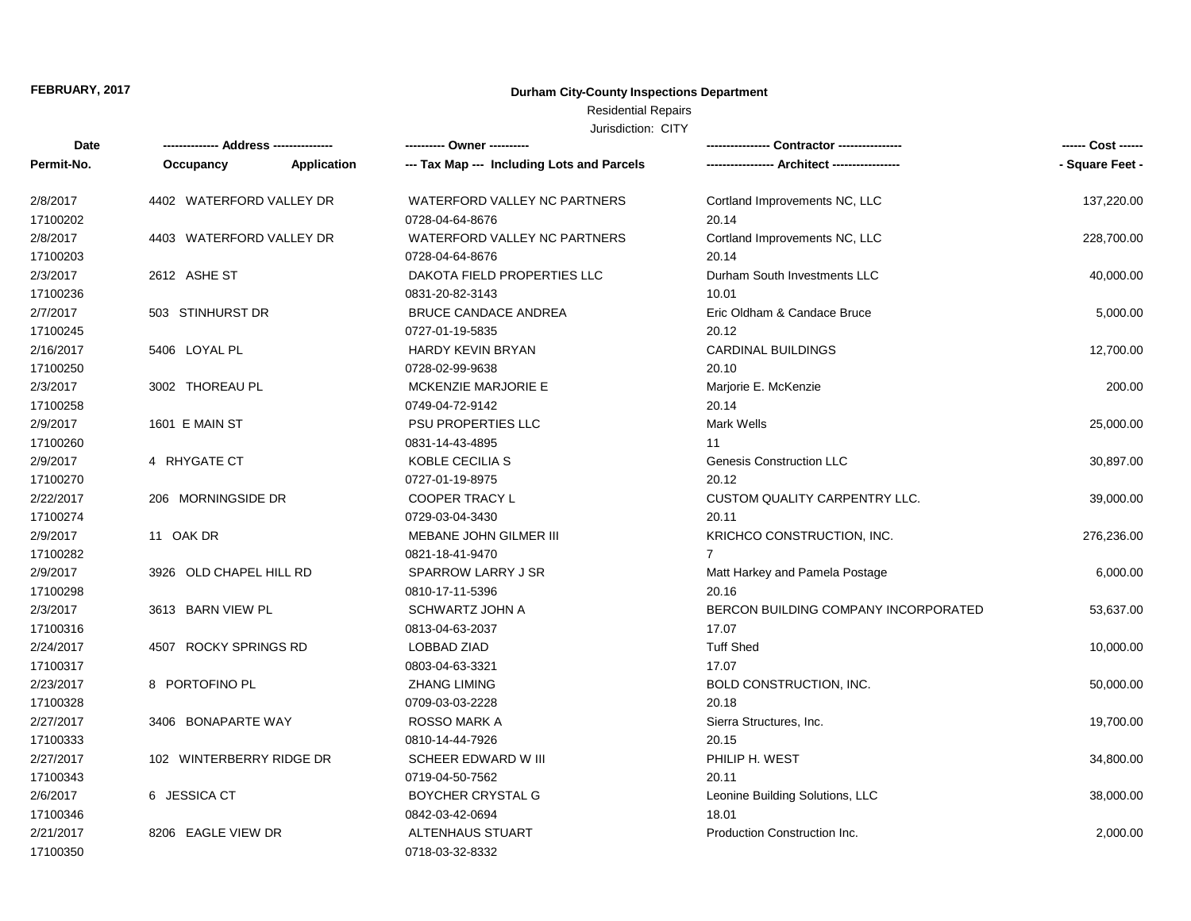## **Durham City-County Inspections Department**

# Residential Repairs

| Date       | -------------- Address ---<br>----------- |             | ---------- Owner ----------                | Contractor ----------------          | ------ Cost ------ |
|------------|-------------------------------------------|-------------|--------------------------------------------|--------------------------------------|--------------------|
| Permit-No. | Occupancy                                 | Application | --- Tax Map --- Including Lots and Parcels |                                      | - Square Feet -    |
| 2/8/2017   | 4402 WATERFORD VALLEY DR                  |             | WATERFORD VALLEY NC PARTNERS               | Cortland Improvements NC, LLC        | 137,220.00         |
| 17100202   |                                           |             | 0728-04-64-8676                            | 20.14                                |                    |
| 2/8/2017   | 4403 WATERFORD VALLEY DR                  |             | WATERFORD VALLEY NC PARTNERS               | Cortland Improvements NC, LLC        | 228,700.00         |
| 17100203   |                                           |             | 0728-04-64-8676                            | 20.14                                |                    |
| 2/3/2017   | 2612 ASHE ST                              |             | DAKOTA FIELD PROPERTIES LLC                | Durham South Investments LLC         | 40,000.00          |
| 17100236   |                                           |             | 0831-20-82-3143                            | 10.01                                |                    |
| 2/7/2017   | 503 STINHURST DR                          |             | <b>BRUCE CANDACE ANDREA</b>                | Eric Oldham & Candace Bruce          | 5,000.00           |
| 17100245   |                                           |             | 0727-01-19-5835                            | 20.12                                |                    |
| 2/16/2017  | 5406 LOYAL PL                             |             | HARDY KEVIN BRYAN                          | <b>CARDINAL BUILDINGS</b>            | 12,700.00          |
| 17100250   |                                           |             | 0728-02-99-9638                            | 20.10                                |                    |
| 2/3/2017   | 3002 THOREAU PL                           |             | <b>MCKENZIE MARJORIE E</b>                 | Marjorie E. McKenzie                 | 200.00             |
| 17100258   |                                           |             | 0749-04-72-9142                            | 20.14                                |                    |
| 2/9/2017   | 1601 E MAIN ST                            |             | <b>PSU PROPERTIES LLC</b>                  | Mark Wells                           | 25,000.00          |
| 17100260   |                                           |             | 0831-14-43-4895                            | 11                                   |                    |
| 2/9/2017   | 4 RHYGATE CT                              |             | KOBLE CECILIA S                            | <b>Genesis Construction LLC</b>      | 30,897.00          |
| 17100270   |                                           |             | 0727-01-19-8975                            | 20.12                                |                    |
| 2/22/2017  | 206 MORNINGSIDE DR                        |             | <b>COOPER TRACY L</b>                      | <b>CUSTOM QUALITY CARPENTRY LLC.</b> | 39,000.00          |
| 17100274   |                                           |             | 0729-03-04-3430                            | 20.11                                |                    |
| 2/9/2017   | 11 OAK DR                                 |             | MEBANE JOHN GILMER III                     | KRICHCO CONSTRUCTION, INC.           | 276,236.00         |
| 17100282   |                                           |             | 0821-18-41-9470                            | $\overline{7}$                       |                    |
| 2/9/2017   | 3926 OLD CHAPEL HILL RD                   |             | <b>SPARROW LARRY J SR</b>                  | Matt Harkey and Pamela Postage       | 6,000.00           |
| 17100298   |                                           |             | 0810-17-11-5396                            | 20.16                                |                    |
| 2/3/2017   | 3613 BARN VIEW PL                         |             | <b>SCHWARTZ JOHN A</b>                     | BERCON BUILDING COMPANY INCORPORATED | 53,637.00          |
| 17100316   |                                           |             | 0813-04-63-2037                            | 17.07                                |                    |
| 2/24/2017  | 4507 ROCKY SPRINGS RD                     |             | <b>LOBBAD ZIAD</b>                         | <b>Tuff Shed</b>                     | 10,000.00          |
| 17100317   |                                           |             | 0803-04-63-3321                            | 17.07                                |                    |
| 2/23/2017  | 8 PORTOFINO PL                            |             | <b>ZHANG LIMING</b>                        | <b>BOLD CONSTRUCTION, INC.</b>       | 50,000.00          |
| 17100328   |                                           |             | 0709-03-03-2228                            | 20.18                                |                    |
| 2/27/2017  | 3406 BONAPARTE WAY                        |             | <b>ROSSO MARK A</b>                        | Sierra Structures, Inc.              | 19,700.00          |
| 17100333   |                                           |             | 0810-14-44-7926                            | 20.15                                |                    |
| 2/27/2017  | 102 WINTERBERRY RIDGE DR                  |             | SCHEER EDWARD W III                        | PHILIP H. WEST                       | 34,800.00          |
| 17100343   |                                           |             | 0719-04-50-7562                            | 20.11                                |                    |
| 2/6/2017   | 6 JESSICA CT                              |             | BOYCHER CRYSTAL G                          | Leonine Building Solutions, LLC      | 38,000.00          |
| 17100346   |                                           |             | 0842-03-42-0694                            | 18.01                                |                    |
| 2/21/2017  | 8206 EAGLE VIEW DR                        |             | <b>ALTENHAUS STUART</b>                    | Production Construction Inc.         | 2,000.00           |
| 17100350   |                                           |             | 0718-03-32-8332                            |                                      |                    |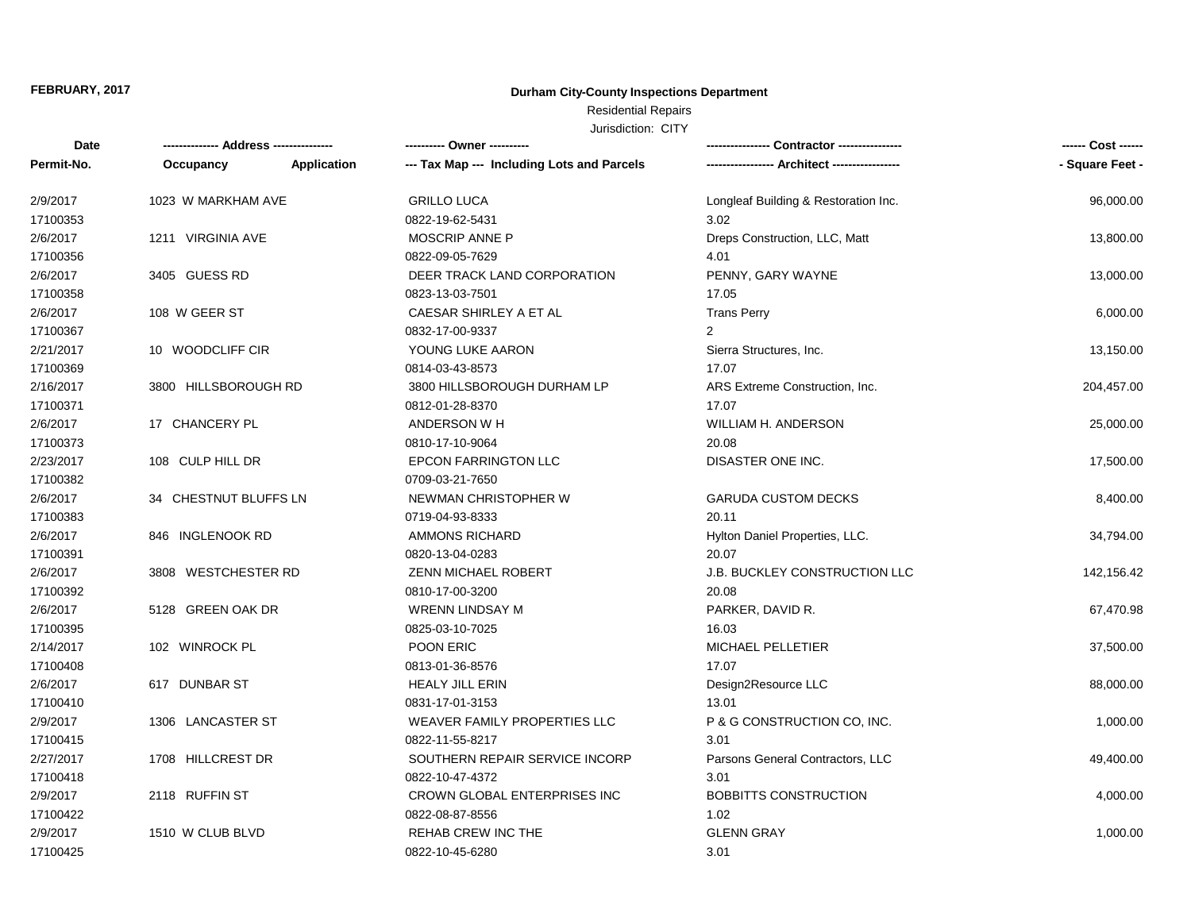## **Durham City-County Inspections Department**

# Residential Repairs

| <b>Date</b> | ------------- Address -------------- |             | ---------- Owner ----------                |                                      | ------ Cost ------ |
|-------------|--------------------------------------|-------------|--------------------------------------------|--------------------------------------|--------------------|
| Permit-No.  | Occupancy                            | Application | --- Tax Map --- Including Lots and Parcels |                                      | - Square Feet -    |
| 2/9/2017    | 1023 W MARKHAM AVE                   |             | <b>GRILLO LUCA</b>                         | Longleaf Building & Restoration Inc. | 96,000.00          |
| 17100353    |                                      |             | 0822-19-62-5431                            | 3.02                                 |                    |
| 2/6/2017    | 1211 VIRGINIA AVE                    |             | MOSCRIP ANNE P                             | Dreps Construction, LLC, Matt        | 13,800.00          |
| 17100356    |                                      |             | 0822-09-05-7629                            | 4.01                                 |                    |
| 2/6/2017    | 3405 GUESS RD                        |             | DEER TRACK LAND CORPORATION                | PENNY, GARY WAYNE                    | 13,000.00          |
| 17100358    |                                      |             | 0823-13-03-7501                            | 17.05                                |                    |
| 2/6/2017    | 108 W GEER ST                        |             | CAESAR SHIRLEY A ET AL                     | <b>Trans Perry</b>                   | 6,000.00           |
| 17100367    |                                      |             | 0832-17-00-9337                            | 2                                    |                    |
| 2/21/2017   | 10 WOODCLIFF CIR                     |             | YOUNG LUKE AARON                           | Sierra Structures, Inc.              | 13,150.00          |
| 17100369    |                                      |             | 0814-03-43-8573                            | 17.07                                |                    |
| 2/16/2017   | 3800 HILLSBOROUGH RD                 |             | 3800 HILLSBOROUGH DURHAM LP                | ARS Extreme Construction, Inc.       | 204,457.00         |
| 17100371    |                                      |             | 0812-01-28-8370                            | 17.07                                |                    |
| 2/6/2017    | 17 CHANCERY PL                       |             | ANDERSON W H                               | WILLIAM H. ANDERSON                  | 25,000.00          |
| 17100373    |                                      |             | 0810-17-10-9064                            | 20.08                                |                    |
| 2/23/2017   | 108 CULP HILL DR                     |             | <b>EPCON FARRINGTON LLC</b>                | DISASTER ONE INC.                    | 17,500.00          |
| 17100382    |                                      |             | 0709-03-21-7650                            |                                      |                    |
| 2/6/2017    | 34 CHESTNUT BLUFFS LN                |             | NEWMAN CHRISTOPHER W                       | <b>GARUDA CUSTOM DECKS</b>           | 8,400.00           |
| 17100383    |                                      |             | 0719-04-93-8333                            | 20.11                                |                    |
| 2/6/2017    | 846 INGLENOOK RD                     |             | <b>AMMONS RICHARD</b>                      | Hylton Daniel Properties, LLC.       | 34,794.00          |
| 17100391    |                                      |             | 0820-13-04-0283                            | 20.07                                |                    |
| 2/6/2017    | 3808 WESTCHESTER RD                  |             | <b>ZENN MICHAEL ROBERT</b>                 | <b>J.B. BUCKLEY CONSTRUCTION LLC</b> | 142,156.42         |
| 17100392    |                                      |             | 0810-17-00-3200                            | 20.08                                |                    |
| 2/6/2017    | 5128 GREEN OAK DR                    |             | <b>WRENN LINDSAY M</b>                     | PARKER, DAVID R.                     | 67,470.98          |
| 17100395    |                                      |             | 0825-03-10-7025                            | 16.03                                |                    |
| 2/14/2017   | 102 WINROCK PL                       |             | POON ERIC                                  | <b>MICHAEL PELLETIER</b>             | 37,500.00          |
| 17100408    |                                      |             | 0813-01-36-8576                            | 17.07                                |                    |
| 2/6/2017    | 617 DUNBAR ST                        |             | <b>HEALY JILL ERIN</b>                     | Design2Resource LLC                  | 88,000.00          |
| 17100410    |                                      |             | 0831-17-01-3153                            | 13.01                                |                    |
| 2/9/2017    | 1306 LANCASTER ST                    |             | WEAVER FAMILY PROPERTIES LLC               | P & G CONSTRUCTION CO, INC.          | 1,000.00           |
| 17100415    |                                      |             | 0822-11-55-8217                            | 3.01                                 |                    |
| 2/27/2017   | 1708 HILLCREST DR                    |             | SOUTHERN REPAIR SERVICE INCORP             | Parsons General Contractors, LLC     | 49,400.00          |
| 17100418    |                                      |             | 0822-10-47-4372                            | 3.01                                 |                    |
| 2/9/2017    | 2118 RUFFIN ST                       |             | CROWN GLOBAL ENTERPRISES INC               | <b>BOBBITTS CONSTRUCTION</b>         | 4,000.00           |
| 17100422    |                                      |             | 0822-08-87-8556                            | 1.02                                 |                    |
| 2/9/2017    | 1510 W CLUB BLVD                     |             | REHAB CREW INC THE                         | <b>GLENN GRAY</b>                    | 1,000.00           |
| 17100425    |                                      |             | 0822-10-45-6280                            | 3.01                                 |                    |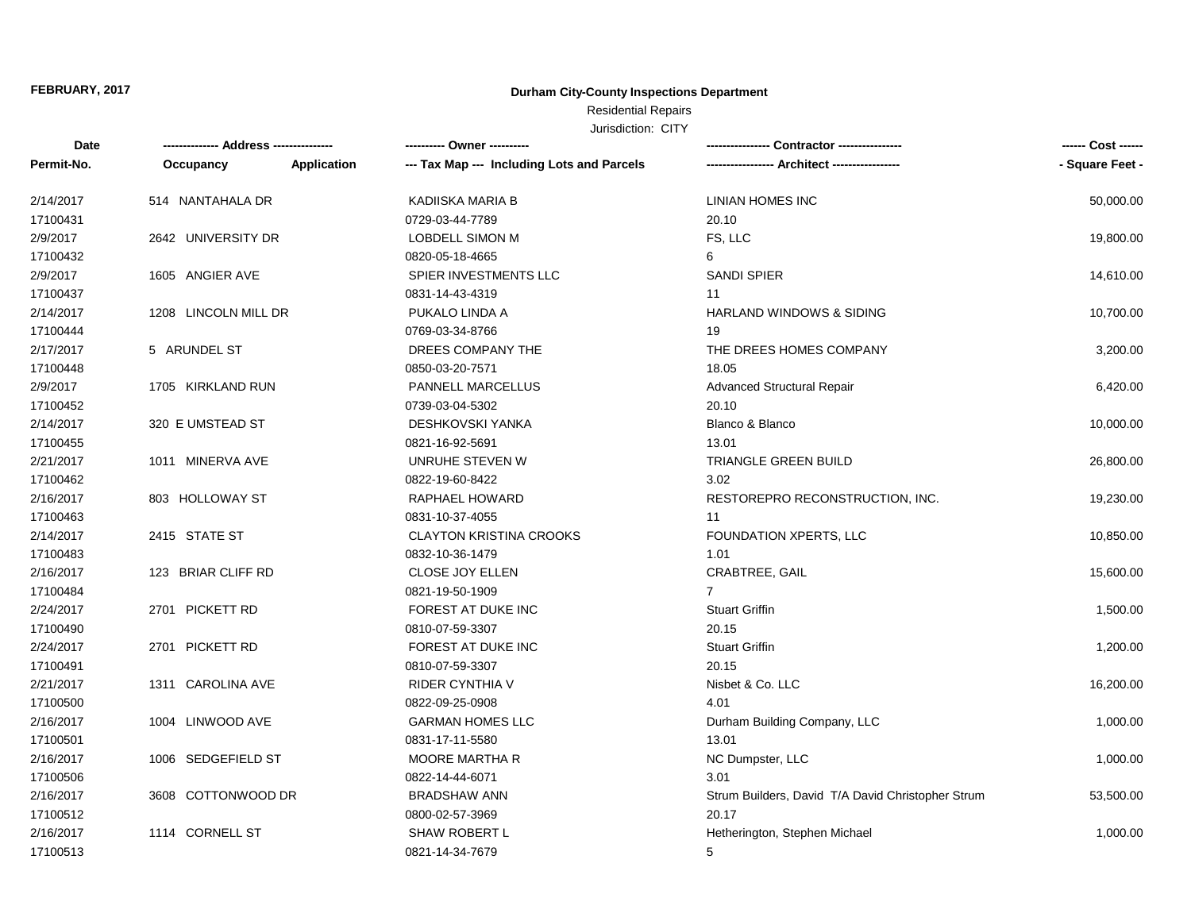## **Durham City-County Inspections Department**

## Residential Repairs

| <b>Date</b> | -------------- Address --------------- |             | --------- Owner ----------                 |                                                   | ------ Cost ------ |
|-------------|----------------------------------------|-------------|--------------------------------------------|---------------------------------------------------|--------------------|
| Permit-No.  | Occupancy                              | Application | --- Tax Map --- Including Lots and Parcels |                                                   | - Square Feet -    |
| 2/14/2017   | 514 NANTAHALA DR                       |             | KADIISKA MARIA B                           | <b>LINIAN HOMES INC</b>                           | 50,000.00          |
| 17100431    |                                        |             | 0729-03-44-7789                            | 20.10                                             |                    |
| 2/9/2017    | 2642 UNIVERSITY DR                     |             | LOBDELL SIMON M                            | FS, LLC                                           | 19,800.00          |
| 17100432    |                                        |             | 0820-05-18-4665                            | 6                                                 |                    |
| 2/9/2017    | 1605 ANGIER AVE                        |             | SPIER INVESTMENTS LLC                      | <b>SANDI SPIER</b>                                | 14,610.00          |
| 17100437    |                                        |             | 0831-14-43-4319                            | 11                                                |                    |
| 2/14/2017   | 1208 LINCOLN MILL DR                   |             | PUKALO LINDA A                             | <b>HARLAND WINDOWS &amp; SIDING</b>               | 10,700.00          |
| 17100444    |                                        |             | 0769-03-34-8766                            | 19                                                |                    |
| 2/17/2017   | 5 ARUNDEL ST                           |             | DREES COMPANY THE                          | THE DREES HOMES COMPANY                           | 3,200.00           |
| 17100448    |                                        |             | 0850-03-20-7571                            | 18.05                                             |                    |
| 2/9/2017    | 1705 KIRKLAND RUN                      |             | <b>PANNELL MARCELLUS</b>                   | <b>Advanced Structural Repair</b>                 | 6,420.00           |
| 17100452    |                                        |             | 0739-03-04-5302                            | 20.10                                             |                    |
| 2/14/2017   | 320 E UMSTEAD ST                       |             | <b>DESHKOVSKI YANKA</b>                    | Blanco & Blanco                                   | 10,000.00          |
| 17100455    |                                        |             | 0821-16-92-5691                            | 13.01                                             |                    |
| 2/21/2017   | 1011 MINERVA AVE                       |             | UNRUHE STEVEN W                            | <b>TRIANGLE GREEN BUILD</b>                       | 26,800.00          |
| 17100462    |                                        |             | 0822-19-60-8422                            | 3.02                                              |                    |
| 2/16/2017   | 803 HOLLOWAY ST                        |             | RAPHAEL HOWARD                             | RESTOREPRO RECONSTRUCTION, INC.                   | 19,230.00          |
| 17100463    |                                        |             | 0831-10-37-4055                            | 11                                                |                    |
| 2/14/2017   | 2415 STATE ST                          |             | <b>CLAYTON KRISTINA CROOKS</b>             | FOUNDATION XPERTS, LLC                            | 10,850.00          |
| 17100483    |                                        |             | 0832-10-36-1479                            | 1.01                                              |                    |
| 2/16/2017   | 123 BRIAR CLIFF RD                     |             | CLOSE JOY ELLEN                            | CRABTREE, GAIL                                    | 15,600.00          |
| 17100484    |                                        |             | 0821-19-50-1909                            | $\overline{7}$                                    |                    |
| 2/24/2017   | 2701 PICKETT RD                        |             | FOREST AT DUKE INC                         | <b>Stuart Griffin</b>                             | 1,500.00           |
| 17100490    |                                        |             | 0810-07-59-3307                            | 20.15                                             |                    |
| 2/24/2017   | 2701 PICKETT RD                        |             | FOREST AT DUKE INC                         | <b>Stuart Griffin</b>                             | 1,200.00           |
| 17100491    |                                        |             | 0810-07-59-3307                            | 20.15                                             |                    |
| 2/21/2017   | 1311 CAROLINA AVE                      |             | RIDER CYNTHIA V                            | Nisbet & Co. LLC                                  | 16,200.00          |
| 17100500    |                                        |             | 0822-09-25-0908                            | 4.01                                              |                    |
| 2/16/2017   | 1004 LINWOOD AVE                       |             | <b>GARMAN HOMES LLC</b>                    | Durham Building Company, LLC                      | 1,000.00           |
| 17100501    |                                        |             | 0831-17-11-5580                            | 13.01                                             |                    |
| 2/16/2017   | 1006 SEDGEFIELD ST                     |             | MOORE MARTHA R                             | NC Dumpster, LLC                                  | 1,000.00           |
| 17100506    |                                        |             | 0822-14-44-6071                            | 3.01                                              |                    |
| 2/16/2017   | 3608 COTTONWOOD DR                     |             | <b>BRADSHAW ANN</b>                        | Strum Builders, David T/A David Christopher Strum | 53,500.00          |
| 17100512    |                                        |             | 0800-02-57-3969                            | 20.17                                             |                    |
| 2/16/2017   | 1114 CORNELL ST                        |             | SHAW ROBERT L                              | Hetherington, Stephen Michael                     | 1,000.00           |
| 17100513    |                                        |             | 0821-14-34-7679                            | 5                                                 |                    |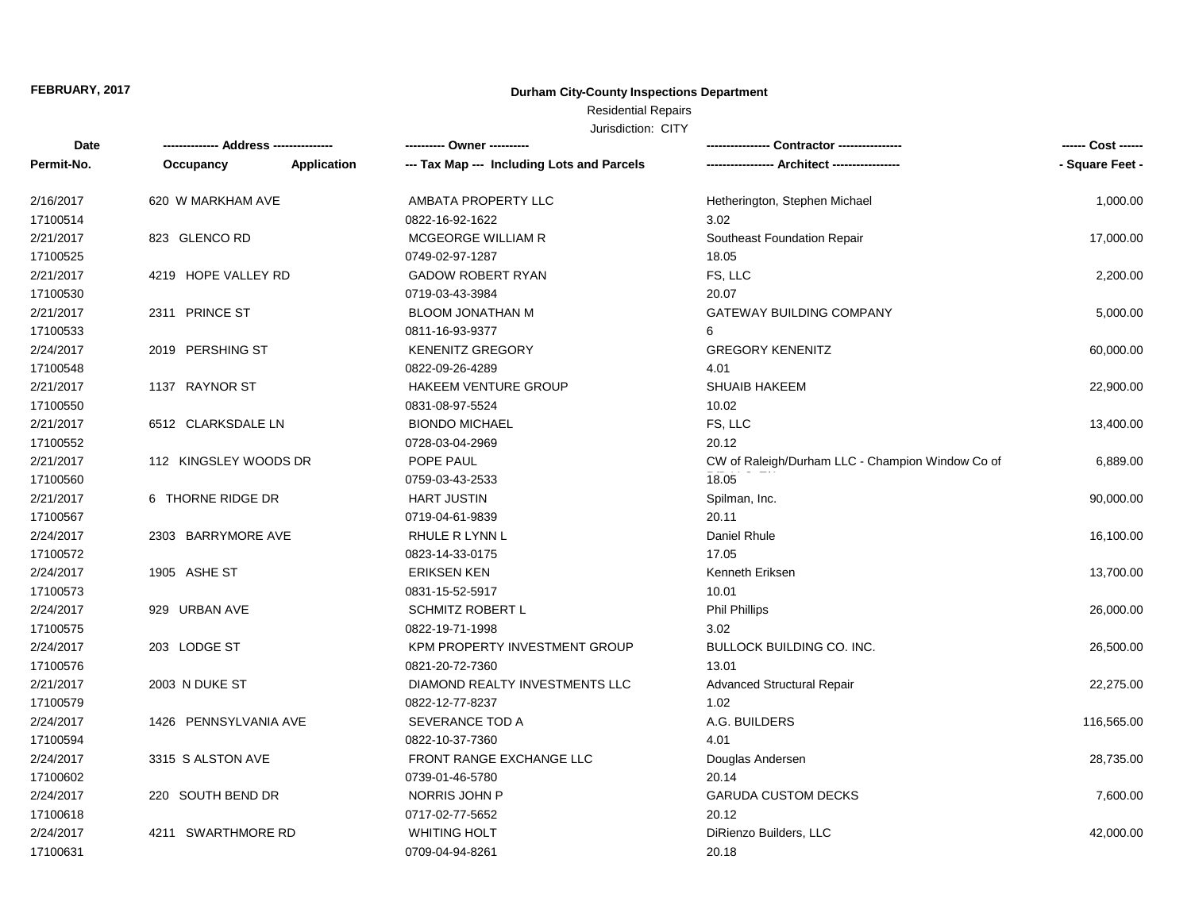## **Durham City-County Inspections Department**

# Residential Repairs

| Date       | -------------- Address --------------- |                    | ---------- Owner ----------                |                                                  | ------ Cost ------ |
|------------|----------------------------------------|--------------------|--------------------------------------------|--------------------------------------------------|--------------------|
| Permit-No. | Occupancy                              | <b>Application</b> | --- Tax Map --- Including Lots and Parcels | -- Architect ----------------                    | - Square Feet -    |
| 2/16/2017  | 620 W MARKHAM AVE                      |                    | AMBATA PROPERTY LLC                        | Hetherington, Stephen Michael                    | 1,000.00           |
| 17100514   |                                        |                    | 0822-16-92-1622                            | 3.02                                             |                    |
| 2/21/2017  | 823 GLENCO RD                          |                    | MCGEORGE WILLIAM R                         | Southeast Foundation Repair                      | 17,000.00          |
| 17100525   |                                        |                    | 0749-02-97-1287                            | 18.05                                            |                    |
| 2/21/2017  | 4219 HOPE VALLEY RD                    |                    | <b>GADOW ROBERT RYAN</b>                   | FS, LLC                                          | 2,200.00           |
| 17100530   |                                        |                    | 0719-03-43-3984                            | 20.07                                            |                    |
| 2/21/2017  | 2311 PRINCE ST                         |                    | <b>BLOOM JONATHAN M</b>                    | <b>GATEWAY BUILDING COMPANY</b>                  | 5,000.00           |
| 17100533   |                                        |                    | 0811-16-93-9377                            | 6                                                |                    |
| 2/24/2017  | 2019 PERSHING ST                       |                    | <b>KENENITZ GREGORY</b>                    | <b>GREGORY KENENITZ</b>                          | 60,000.00          |
| 17100548   |                                        |                    | 0822-09-26-4289                            | 4.01                                             |                    |
| 2/21/2017  | 1137 RAYNOR ST                         |                    | HAKEEM VENTURE GROUP                       | <b>SHUAIB HAKEEM</b>                             | 22,900.00          |
| 17100550   |                                        |                    | 0831-08-97-5524                            | 10.02                                            |                    |
| 2/21/2017  | 6512 CLARKSDALE LN                     |                    | <b>BIONDO MICHAEL</b>                      | FS, LLC                                          | 13,400.00          |
| 17100552   |                                        |                    | 0728-03-04-2969                            | 20.12                                            |                    |
| 2/21/2017  | 112 KINGSLEY WOODS DR                  |                    | POPE PAUL                                  | CW of Raleigh/Durham LLC - Champion Window Co of | 6,889.00           |
| 17100560   |                                        |                    | 0759-03-43-2533                            | 18.05                                            |                    |
| 2/21/2017  | 6 THORNE RIDGE DR                      |                    | <b>HART JUSTIN</b>                         | Spilman, Inc.                                    | 90,000.00          |
| 17100567   |                                        |                    | 0719-04-61-9839                            | 20.11                                            |                    |
| 2/24/2017  | 2303 BARRYMORE AVE                     |                    | RHULE R LYNN L                             | Daniel Rhule                                     | 16,100.00          |
| 17100572   |                                        |                    | 0823-14-33-0175                            | 17.05                                            |                    |
| 2/24/2017  | 1905 ASHE ST                           |                    | <b>ERIKSEN KEN</b>                         | Kenneth Eriksen                                  | 13,700.00          |
| 17100573   |                                        |                    | 0831-15-52-5917                            | 10.01                                            |                    |
| 2/24/2017  | 929 URBAN AVE                          |                    | <b>SCHMITZ ROBERT L</b>                    | <b>Phil Phillips</b>                             | 26,000.00          |
| 17100575   |                                        |                    | 0822-19-71-1998                            | 3.02                                             |                    |
| 2/24/2017  | 203 LODGE ST                           |                    | KPM PROPERTY INVESTMENT GROUP              | <b>BULLOCK BUILDING CO. INC.</b>                 | 26,500.00          |
| 17100576   |                                        |                    | 0821-20-72-7360                            | 13.01                                            |                    |
| 2/21/2017  | 2003 N DUKE ST                         |                    | DIAMOND REALTY INVESTMENTS LLC             | <b>Advanced Structural Repair</b>                | 22,275.00          |
| 17100579   |                                        |                    | 0822-12-77-8237                            | 1.02                                             |                    |
| 2/24/2017  | 1426 PENNSYLVANIA AVE                  |                    | SEVERANCE TOD A                            | A.G. BUILDERS                                    | 116,565.00         |
| 17100594   |                                        |                    | 0822-10-37-7360                            | 4.01                                             |                    |
| 2/24/2017  | 3315 S ALSTON AVE                      |                    | FRONT RANGE EXCHANGE LLC                   | Douglas Andersen                                 | 28,735.00          |
| 17100602   |                                        |                    | 0739-01-46-5780                            | 20.14                                            |                    |
| 2/24/2017  | 220 SOUTH BEND DR                      |                    | NORRIS JOHN P                              | <b>GARUDA CUSTOM DECKS</b>                       | 7,600.00           |
| 17100618   |                                        |                    | 0717-02-77-5652                            | 20.12                                            |                    |
| 2/24/2017  | 4211 SWARTHMORE RD                     |                    | <b>WHITING HOLT</b>                        | DiRienzo Builders, LLC                           | 42,000.00          |
| 17100631   |                                        |                    | 0709-04-94-8261                            | 20.18                                            |                    |